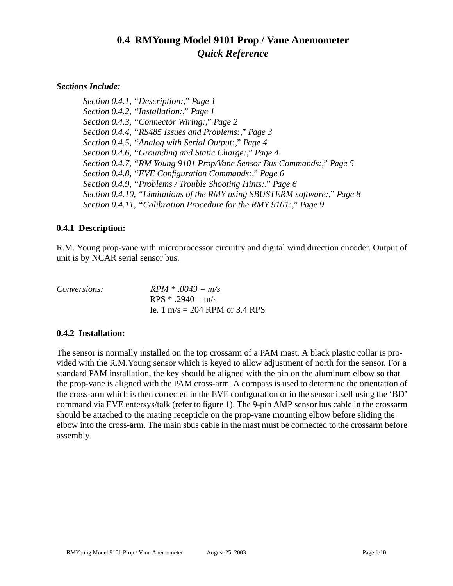# **0.4 RMYoung Model 9101 Prop / Vane Anemometer** *Quick Reference*

## *Sections Include:*

*[Section 0.4.1, "Description:," Page 1](#page-0-0) [Section 0.4.2, "Installation:," Page 1](#page-0-1) [Section 0.4.3, "Connector Wiring:," Page 2](#page-1-0) [Section 0.4.4, "RS485 Issues and Problems:," Page 3](#page-2-0) [Section 0.4.5, "Analog with Serial Output:," Page 4](#page-3-1) [Section 0.4.6, "Grounding and Static Charge:," Page 4](#page-3-0) [Section 0.4.7, "RM Young 9101 Prop/Vane Sensor Bus Commands:," Page 5](#page-4-0) [Section 0.4.8, "EVE Configuration Commands:," Page 6](#page-5-1) [Section 0.4.9, "Problems / Trouble Shooting Hints:," Page 6](#page-5-0) [Section 0.4.10, "Limitations of the RMY using SBUSTERM software:," Page 8](#page-7-0) [Section 0.4.11, "Calibration Procedure for the RMY 9101:," Page 9](#page-8-0)*

## <span id="page-0-0"></span>**0.4.1 Description:**

R.M. Young prop-vane with microprocessor circuitry and digital wind direction encoder. Output of unit is by NCAR serial sensor bus.

| <i>Conversions:</i> | $RPM * .0049 = m/s$            |
|---------------------|--------------------------------|
|                     | RPS $* .2940 = m/s$            |
|                     | Ie. 1 m/s = 204 RPM or 3.4 RPS |

# <span id="page-0-1"></span>**0.4.2 Installation:**

The sensor is normally installed on the top crossarm of a PAM mast. A black plastic collar is provided with the R.M.Young sensor which is keyed to allow adjustment of north for the sensor. For a standard PAM installation, the key should be aligned with the pin on the aluminum elbow so that the prop-vane is aligned with the PAM cross-arm. A compass is used to determine the orientation of the cross-arm which is then corrected in the EVE configuration or in the sensor itself using the 'BD' command via EVE entersys/talk (refer to figure 1). The 9-pin AMP sensor bus cable in the crossarm should be attached to the mating recepticle on the prop-vane mounting elbow before sliding the elbow into the cross-arm. The main sbus cable in the mast must be connected to the crossarm before assembly.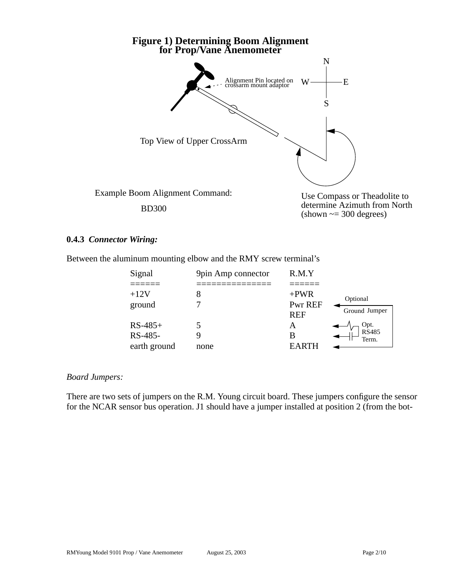

Use Compass or Theadolite to determine Azimuth from North  $(\text{shown} \sim 300 \text{ degrees})$ 

#### <span id="page-1-0"></span>**0.4.3** *Connector Wiring:*

Between the aluminum mounting elbow and the RMY screw terminal's

| Signal       | 9pin Amp connector | R.M.Y      |               |
|--------------|--------------------|------------|---------------|
|              |                    |            |               |
| $+12V$       |                    | $+PWR$     | Optional      |
| ground       |                    | Pwr REF    |               |
|              |                    | <b>REF</b> | Ground Jumper |
| $RS-485+$    |                    | A          | Opt.<br>RS485 |
| RS-485-      |                    | В          | Term.         |
| earth ground | none               | EARTH      |               |

#### *Board Jumpers:*

There are two sets of jumpers on the R.M. Young circuit board. These jumpers configure the sensor for the NCAR sensor bus operation. J1 should have a jumper installed at position 2 (from the bot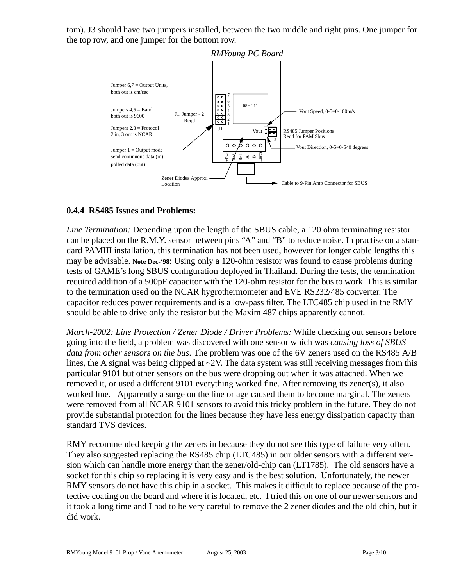tom). J3 should have two jumpers installed, between the two middle and right pins. One jumper for the top row, and one jumper for the bottom row.



## <span id="page-2-0"></span>**0.4.4 RS485 Issues and Problems:**

*Line Termination:* Depending upon the length of the SBUS cable, a 120 ohm terminating resistor can be placed on the R.M.Y. sensor between pins "A" and "B" to reduce noise. In practise on a standard PAMIII installation, this termination has not been used, however for longer cable lengths this may be advisable. **Note Dec-'98**: Using only a 120-ohm resistor was found to cause problems during tests of GAME's long SBUS configuration deployed in Thailand. During the tests, the termination required addition of a 500pF capacitor with the 120-ohm resistor for the bus to work. This is similar to the termination used on the NCAR hygrothermometer and EVE RS232/485 converter. The capacitor reduces power requirements and is a low-pass filter. The LTC485 chip used in the RMY should be able to drive only the resistor but the Maxim 487 chips apparently cannot.

*March-2002: Line Protection / Zener Diode / Driver Problems:* While checking out sensors before going into the field, a problem was discovered with one sensor which was *causing loss of SBUS data from other sensors on the bus*. The problem was one of the 6V zeners used on the RS485 A/B lines, the A signal was being clipped at  $\sim$ 2V. The data system was still receiving messages from this particular 9101 but other sensors on the bus were dropping out when it was attached. When we removed it, or used a different 9101 everything worked fine. After removing its zener(s), it also worked fine. Apparently a surge on the line or age caused them to become marginal. The zeners were removed from all NCAR 9101 sensors to avoid this tricky problem in the future. They do not provide substantial protection for the lines because they have less energy dissipation capacity than standard TVS devices.

RMY recommended keeping the zeners in because they do not see this type of failure very often. They also suggested replacing the RS485 chip (LTC485) in our older sensors with a different version which can handle more energy than the zener/old-chip can (LT1785). The old sensors have a socket for this chip so replacing it is very easy and is the best solution. Unfortunately, the newer RMY sensors do not have this chip in a socket. This makes it difficult to replace because of the protective coating on the board and where it is located, etc. I tried this on one of our newer sensors and it took a long time and I had to be very careful to remove the 2 zener diodes and the old chip, but it did work.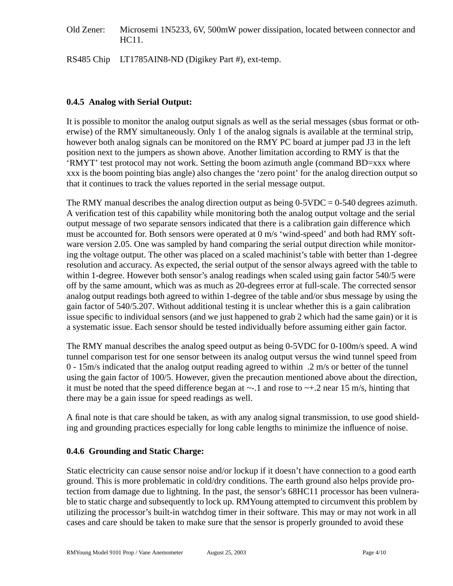Old Zener: Microsemi 1N5233, 6V, 500mW power dissipation, located between connector and HC11.

RS485 Chip LT1785AIN8-ND (Digikey Part #), ext-temp.

## <span id="page-3-1"></span>**0.4.5 Analog with Serial Output:**

It is possible to monitor the analog output signals as well as the serial messages (sbus format or otherwise) of the RMY simultaneously. Only 1 of the analog signals is available at the terminal strip, however both analog signals can be monitored on the RMY PC board at jumper pad J3 in the left position next to the jumpers as shown above. Another limitation according to RMY is that the 'RMYT' test protocol may not work. Setting the boom azimuth angle (command BD=xxx where xxx is the boom pointing bias angle) also changes the 'zero point' for the analog direction output so that it continues to track the values reported in the serial message output.

The RMY manual describes the analog direction output as being  $0-5VDC = 0-540$  degrees azimuth. A verification test of this capability while monitoring both the analog output voltage and the serial output message of two separate sensors indicated that there is a calibration gain difference which must be accounted for. Both sensors were operated at 0 m/s 'wind-speed' and both had RMY software version 2.05. One was sampled by hand comparing the serial output direction while monitoring the voltage output. The other was placed on a scaled machinist's table with better than 1-degree resolution and accuracy. As expected, the serial output of the sensor always agreed with the table to within 1-degree. However both sensor's analog readings when scaled using gain factor 540/5 were off by the same amount, which was as much as 20-degrees error at full-scale. The corrected sensor analog output readings both agreed to within 1-degree of the table and/or sbus message by using the gain factor of 540/5.207. Without additional testing it is unclear whether this is a gain calibration issue specific to individual sensors (and we just happened to grab 2 which had the same gain) or it is a systematic issue. Each sensor should be tested individually before assuming either gain factor.

The RMY manual describes the analog speed output as being 0-5VDC for 0-100m/s speed. A wind tunnel comparison test for one sensor between its analog output versus the wind tunnel speed from  $0 - 15$ m/s indicated that the analog output reading agreed to within .2 m/s or better of the tunnel using the gain factor of 100/5. However, given the precaution mentioned above about the direction, it must be noted that the speed difference began at  $\sim$ -.1 and rose to  $\sim$ +.2 near 15 m/s, hinting that there may be a gain issue for speed readings as well.

A final note is that care should be taken, as with any analog signal transmission, to use good shielding and grounding practices especially for long cable lengths to minimize the influence of noise.

# <span id="page-3-0"></span>**0.4.6 Grounding and Static Charge:**

Static electricity can cause sensor noise and/or lockup if it doesn't have connection to a good earth ground. This is more problematic in cold/dry conditions. The earth ground also helps provide protection from damage due to lightning. In the past, the sensor's 68HC11 processor has been vulnerable to static charge and subsequently to lock up. RMYoung attempted to circumvent this problem by utilizing the processor's built-in watchdog timer in their software. This may or may not work in all cases and care should be taken to make sure that the sensor is properly grounded to avoid these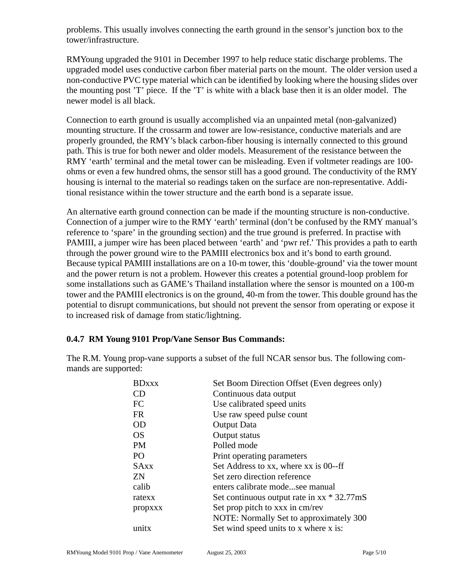problems. This usually involves connecting the earth ground in the sensor's junction box to the tower/infrastructure.

RMYoung upgraded the 9101 in December 1997 to help reduce static discharge problems. The upgraded model uses conductive carbon fiber material parts on the mount. The older version used a non-conductive PVC type material which can be identified by looking where the housing slides over the mounting post 'T' piece. If the 'T' is white with a black base then it is an older model. The newer model is all black.

Connection to earth ground is usually accomplished via an unpainted metal (non-galvanized) mounting structure. If the crossarm and tower are low-resistance, conductive materials and are properly grounded, the RMY's black carbon-fiber housing is internally connected to this ground path. This is true for both newer and older models. Measurement of the resistance between the RMY 'earth' terminal and the metal tower can be misleading. Even if voltmeter readings are 100 ohms or even a few hundred ohms, the sensor still has a good ground. The conductivity of the RMY housing is internal to the material so readings taken on the surface are non-representative. Additional resistance within the tower structure and the earth bond is a separate issue.

An alternative earth ground connection can be made if the mounting structure is non-conductive. Connection of a jumper wire to the RMY 'earth' terminal (don't be confused by the RMY manual's reference to 'spare' in the grounding section) and the true ground is preferred. In practise with PAMIII, a jumper wire has been placed between 'earth' and 'pwr ref.' This provides a path to earth through the power ground wire to the PAMIII electronics box and it's bond to earth ground. Because typical PAMIII installations are on a 10-m tower, this 'double-ground' via the tower mount and the power return is not a problem. However this creates a potential ground-loop problem for some installations such as GAME's Thailand installation where the sensor is mounted on a 100-m tower and the PAMIII electronics is on the ground, 40-m from the tower. This double ground has the potential to disrupt communications, but should not prevent the sensor from operating or expose it to increased risk of damage from static/lightning.

## <span id="page-4-0"></span>**0.4.7 RM Young 9101 Prop/Vane Sensor Bus Commands:**

The R.M. Young prop-vane supports a subset of the full NCAR sensor bus. The following commands are supported:

| <b>BDxxx</b> | Set Boom Direction Offset (Even degrees only)        |
|--------------|------------------------------------------------------|
| CD           | Continuous data output                               |
| FC           | Use calibrated speed units                           |
| <b>FR</b>    | Use raw speed pulse count                            |
| <b>OD</b>    | <b>Output Data</b>                                   |
| <b>OS</b>    | Output status                                        |
| <b>PM</b>    | Polled mode                                          |
| PO           | Print operating parameters                           |
| <b>SAxx</b>  | Set Address to xx, where xx is 00--ff                |
| <b>ZN</b>    | Set zero direction reference                         |
| calib        | enters calibrate modesee manual                      |
| ratexx       | Set continuous output rate in $xx * 32.77 \text{m}S$ |
| propxxx      | Set prop pitch to xxx in cm/rev                      |
|              | NOTE: Normally Set to approximately 300              |
| unıtx        | Set wind speed units to x where x is:                |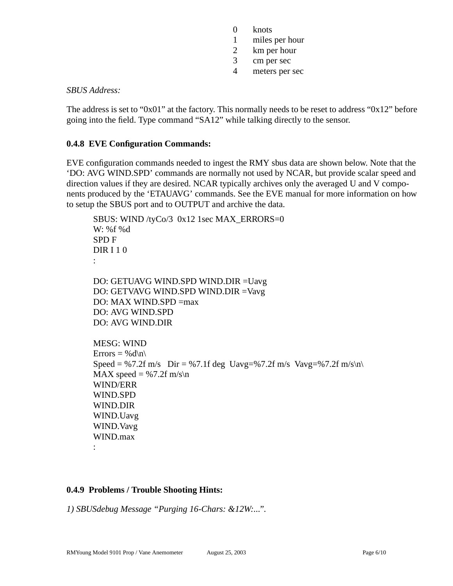- 0 knots
- 1 miles per hour
- 2 km per hour
- 3 cm per sec
- 4 meters per sec

## *SBUS Address:*

The address is set to "0x01" at the factory. This normally needs to be reset to address "0x12" before going into the field. Type command "SA12" while talking directly to the sensor.

## <span id="page-5-1"></span>**0.4.8 EVE Configuration Commands:**

EVE configuration commands needed to ingest the RMY sbus data are shown below. Note that the 'DO: AVG WIND.SPD' commands are normally not used by NCAR, but provide scalar speed and direction values if they are desired. NCAR typically archives only the averaged U and V components produced by the 'ETAUAVG' commands. See the EVE manual for more information on how to setup the SBUS port and to OUTPUT and archive the data.

```
SBUS: WIND /tyCo/3 0x12 1sec MAX_ERRORS=0
W: %f %d
SPD F
DIR I 1 0
:
DO: GETUAVG WIND.SPD WIND.DIR =Uavg
DO: GETVAVG WIND.SPD WIND.DIR =Vavg
DO: MAX WIND.SPD =max
DO: AVG WIND.SPD
DO: AVG WIND.DIR
MESG: WIND
Errors = %d\n\
Speed = %7.2f m/s Dir = 0.7.1f deg Uavg=%7.2f m/s Vavg=%7.2f m/s\n\
MAX speed = %7.2f m/s\ nWIND/ERR
WIND.SPD
WIND.DIR
WIND.Uavg
WIND.Vavg
WIND.max
:
```
## <span id="page-5-0"></span>**0.4.9 Problems / Trouble Shooting Hints:**

*1) SBUSdebug Message "Purging 16-Chars: &12W:...".*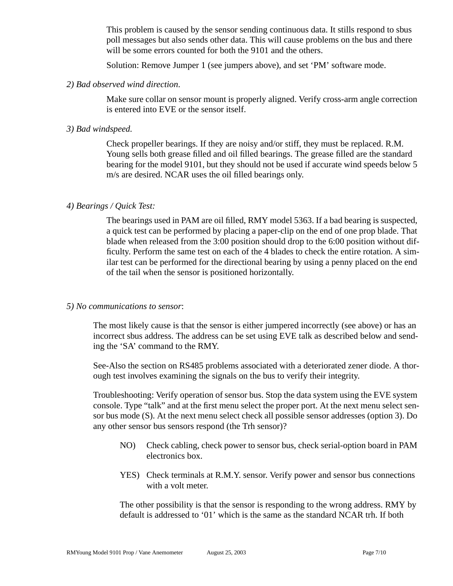This problem is caused by the sensor sending continuous data. It stills respond to sbus poll messages but also sends other data. This will cause problems on the bus and there will be some errors counted for both the 9101 and the others.

Solution: Remove Jumper 1 (see jumpers above), and set 'PM' software mode.

## *2) Bad observed wind direction*.

Make sure collar on sensor mount is properly aligned. Verify cross-arm angle correction is entered into EVE or the sensor itself.

## *3) Bad windspeed.*

Check propeller bearings. If they are noisy and/or stiff, they must be replaced. R.M. Young sells both grease filled and oil filled bearings. The grease filled are the standard bearing for the model 9101, but they should not be used if accurate wind speeds below 5 m/s are desired. NCAR uses the oil filled bearings only.

## *4) Bearings / Quick Test:*

The bearings used in PAM are oil filled, RMY model 5363. If a bad bearing is suspected, a quick test can be performed by placing a paper-clip on the end of one prop blade. That blade when released from the 3:00 position should drop to the 6:00 position without difficulty. Perform the same test on each of the 4 blades to check the entire rotation. A similar test can be performed for the directional bearing by using a penny placed on the end of the tail when the sensor is positioned horizontally.

## *5) No communications to sensor*:

The most likely cause is that the sensor is either jumpered incorrectly (see above) or has an incorrect sbus address. The address can be set using EVE talk as described below and sending the 'SA' command to the RMY.

See-Also the section on RS485 problems associated with a deteriorated zener diode. A thorough test involves examining the signals on the bus to verify their integrity.

Troubleshooting: Verify operation of sensor bus. Stop the data system using the EVE system console. Type "talk" and at the first menu select the proper port. At the next menu select sensor bus mode (S). At the next menu select check all possible sensor addresses (option 3). Do any other sensor bus sensors respond (the Trh sensor)?

- NO) Check cabling, check power to sensor bus, check serial-option board in PAM electronics box.
- YES) Check terminals at R.M.Y. sensor. Verify power and sensor bus connections with a volt meter.

The other possibility is that the sensor is responding to the wrong address. RMY by default is addressed to '01' which is the same as the standard NCAR trh. If both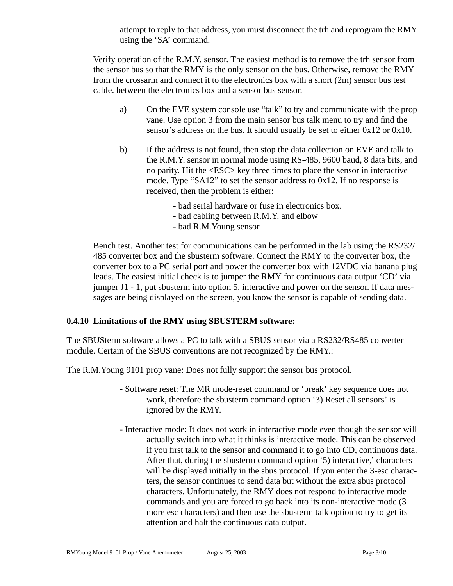attempt to reply to that address, you must disconnect the trh and reprogram the RMY using the 'SA' command.

Verify operation of the R.M.Y. sensor. The easiest method is to remove the trh sensor from the sensor bus so that the RMY is the only sensor on the bus. Otherwise, remove the RMY from the crossarm and connect it to the electronics box with a short (2m) sensor bus test cable. between the electronics box and a sensor bus sensor.

- a) On the EVE system console use "talk" to try and communicate with the prop vane. Use option 3 from the main sensor bus talk menu to try and find the sensor's address on the bus. It should usually be set to either 0x12 or 0x10.
- b) If the address is not found, then stop the data collection on EVE and talk to the R.M.Y. sensor in normal mode using RS-485, 9600 baud, 8 data bits, and no parity. Hit the <ESC> key three times to place the sensor in interactive mode. Type "SA12" to set the sensor address to 0x12. If no response is received, then the problem is either:
	- bad serial hardware or fuse in electronics box.
	- bad cabling between R.M.Y. and elbow
	- bad R.M.Young sensor

Bench test. Another test for communications can be performed in the lab using the RS232/ 485 converter box and the sbusterm software. Connect the RMY to the converter box, the converter box to a PC serial port and power the converter box with 12VDC via banana plug leads. The easiest initial check is to jumper the RMY for continuous data output 'CD' via jumper J1 - 1, put sbusterm into option 5, interactive and power on the sensor. If data messages are being displayed on the screen, you know the sensor is capable of sending data.

# <span id="page-7-0"></span>**0.4.10 Limitations of the RMY using SBUSTERM software:**

The SBUSterm software allows a PC to talk with a SBUS sensor via a RS232/RS485 converter module. Certain of the SBUS conventions are not recognized by the RMY.:

The R.M.Young 9101 prop vane: Does not fully support the sensor bus protocol.

- Software reset: The MR mode-reset command or 'break' key sequence does not work, therefore the sbusterm command option '3) Reset all sensors' is ignored by the RMY.
- Interactive mode: It does not work in interactive mode even though the sensor will actually switch into what it thinks is interactive mode. This can be observed if you first talk to the sensor and command it to go into CD, continuous data. After that, during the sbusterm command option '5) interactive,' characters will be displayed initially in the sbus protocol. If you enter the 3-esc characters, the sensor continues to send data but without the extra sbus protocol characters. Unfortunately, the RMY does not respond to interactive mode commands and you are forced to go back into its non-interactive mode (3 more esc characters) and then use the sbusterm talk option to try to get its attention and halt the continuous data output.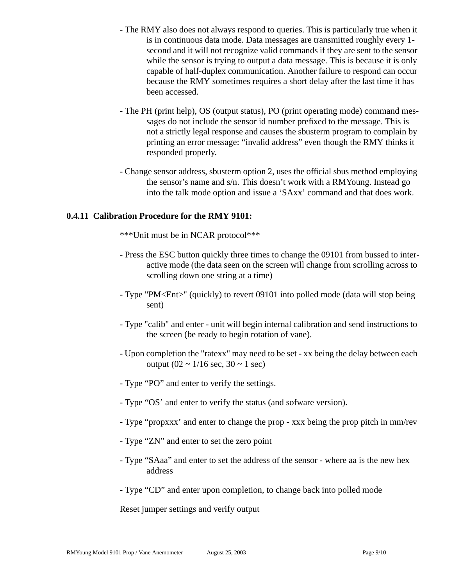- The RMY also does not always respond to queries. This is particularly true when it is in continuous data mode. Data messages are transmitted roughly every 1 second and it will not recognize valid commands if they are sent to the sensor while the sensor is trying to output a data message. This is because it is only capable of half-duplex communication. Another failure to respond can occur because the RMY sometimes requires a short delay after the last time it has been accessed.
- The PH (print help), OS (output status), PO (print operating mode) command messages do not include the sensor id number prefixed to the message. This is not a strictly legal response and causes the sbusterm program to complain by printing an error message: "invalid address" even though the RMY thinks it responded properly.
- Change sensor address, sbusterm option 2, uses the official sbus method employing the sensor's name and s/n. This doesn't work with a RMYoung. Instead go into the talk mode option and issue a 'SAxx' command and that does work.

## <span id="page-8-0"></span>**0.4.11 Calibration Procedure for the RMY 9101:**

\*\*\*Unit must be in NCAR protocol\*\*\*

- Press the ESC button quickly three times to change the 09101 from bussed to interactive mode (the data seen on the screen will change from scrolling across to scrolling down one string at a time)
- Type "PM<Ent>" (quickly) to revert 09101 into polled mode (data will stop being sent)
- Type "calib" and enter unit will begin internal calibration and send instructions to the screen (be ready to begin rotation of vane).
- Upon completion the "ratexx" may need to be set xx being the delay between each output  $(02 \sim 1/16 \text{ sec}, 30 \sim 1 \text{ sec})$
- Type "PO" and enter to verify the settings.
- Type "OS' and enter to verify the status (and sofware version).
- Type "propxxx' and enter to change the prop xxx being the prop pitch in mm/rev
- Type "ZN" and enter to set the zero point
- Type "SAaa" and enter to set the address of the sensor where aa is the new hex address
- Type "CD" and enter upon completion, to change back into polled mode

Reset jumper settings and verify output